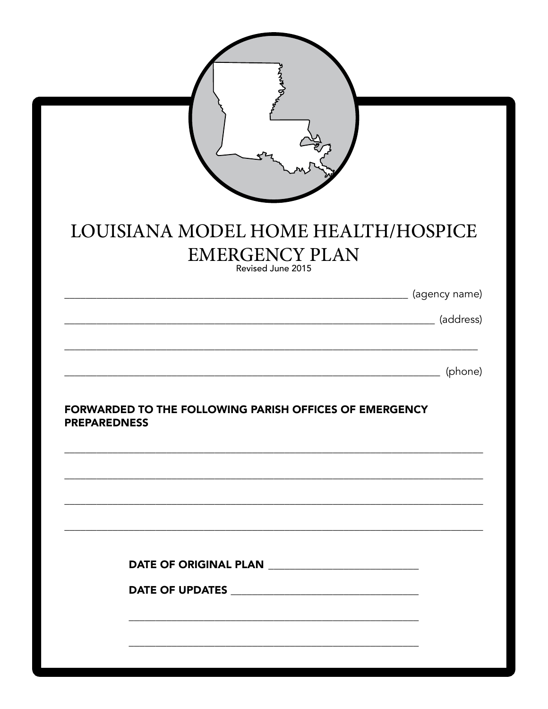| LOUISIANA MODEL HOME HEALTH/HOSPICE<br><b>EMERGENCY PLAN</b>                  |
|-------------------------------------------------------------------------------|
| Revised June 2015                                                             |
| (agency name)                                                                 |
| (address)                                                                     |
| (phone)                                                                       |
| FORWARDED TO THE FOLLOWING PARISH OFFICES OF EMERGENCY<br><b>PREPAREDNESS</b> |
|                                                                               |
|                                                                               |
|                                                                               |
|                                                                               |
|                                                                               |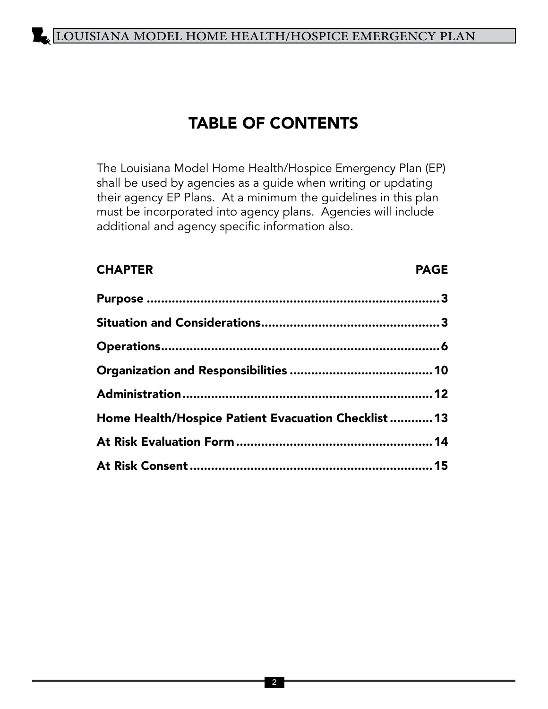### TABLE OF CONTENTS

The Louisiana Model Home Health/Hospice Emergency Plan (EP) shall be used by agencies as a guide when writing or updating their agency EP Plans. At a minimum the guidelines in this plan must be incorporated into agency plans. Agencies will include additional and agency specific information also.

#### **CHAPTER** PAGE

| Home Health/Hospice Patient Evacuation Checklist  13 |  |
|------------------------------------------------------|--|
|                                                      |  |
|                                                      |  |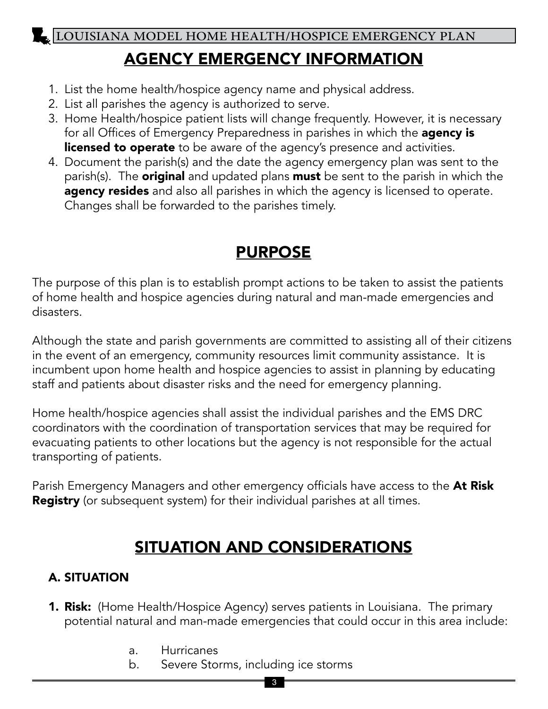### AGENCY EMERGENCY INFORMATION

- 1. List the home health/hospice agency name and physical address.
- 2. List all parishes the agency is authorized to serve.
- 3. Home Health/hospice patient lists will change frequently. However, it is necessary for all Offices of Emergency Preparedness in parishes in which the agency is licensed to operate to be aware of the agency's presence and activities.
- 4. Document the parish(s) and the date the agency emergency plan was sent to the parish(s). The **original** and updated plans **must** be sent to the parish in which the agency resides and also all parishes in which the agency is licensed to operate. Changes shall be forwarded to the parishes timely.

### PURPOSE

The purpose of this plan is to establish prompt actions to be taken to assist the patients of home health and hospice agencies during natural and man-made emergencies and disasters.

Although the state and parish governments are committed to assisting all of their citizens in the event of an emergency, community resources limit community assistance. It is incumbent upon home health and hospice agencies to assist in planning by educating staff and patients about disaster risks and the need for emergency planning*.*

Home health/hospice agencies shall assist the individual parishes and the EMS DRC coordinators with the coordination of transportation services that may be required for evacuating patients to other locations but the agency is not responsible for the actual transporting of patients.

Parish Emergency Managers and other emergency officials have access to the At Risk Registry (or subsequent system) for their individual parishes at all times.

### SITUATION AND CONSIDERATIONS

### A. SITUATION

- 1. Risk: (Home Health/Hospice Agency) serves patients in Louisiana. The primary potential natural and man-made emergencies that could occur in this area include:
	- a. Hurricanes
	- b. Severe Storms, including ice storms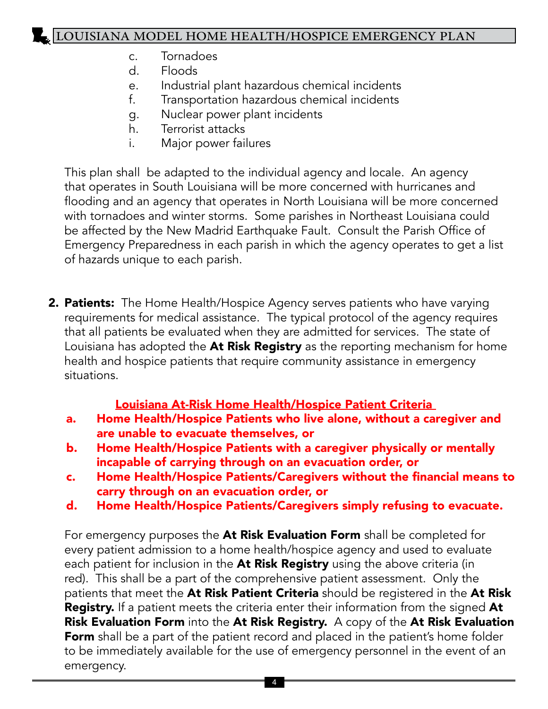- c. Tornadoes
- d. Floods
- e. Industrial plant hazardous chemical incidents
- f. Transportation hazardous chemical incidents
- g. Nuclear power plant incidents
- h. Terrorist attacks
- i. Major power failures

This plan shall be adapted to the individual agency and locale. An agency that operates in South Louisiana will be more concerned with hurricanes and flooding and an agency that operates in North Louisiana will be more concerned with tornadoes and winter storms. Some parishes in Northeast Louisiana could be affected by the New Madrid Earthquake Fault. Consult the Parish Office of Emergency Preparedness in each parish in which the agency operates to get a list of hazards unique to each parish.

2. Patients: The Home Health/Hospice Agency serves patients who have varying requirements for medical assistance. The typical protocol of the agency requires that all patients be evaluated when they are admitted for services. The state of Louisiana has adopted the At Risk Registry as the reporting mechanism for home health and hospice patients that require community assistance in emergency situations.

### Louisiana At-Risk Home Health/Hospice Patient Criteria

- a. Home Health/Hospice Patients who live alone, without a caregiver and are unable to evacuate themselves, or
- b. Home Health/Hospice Patients with a caregiver physically or mentally incapable of carrying through on an evacuation order, or
- c. Home Health/Hospice Patients/Caregivers without the financial means to carry through on an evacuation order, or
- d. Home Health/Hospice Patients/Caregivers simply refusing to evacuate.

For emergency purposes the At Risk Evaluation Form shall be completed for every patient admission to a home health/hospice agency and used to evaluate each patient for inclusion in the At Risk Registry using the above criteria (in red). This shall be a part of the comprehensive patient assessment. Only the patients that meet the At Risk Patient Criteria should be registered in the At Risk Registry. If a patient meets the criteria enter their information from the signed At Risk Evaluation Form into the At Risk Registry. A copy of the At Risk Evaluation Form shall be a part of the patient record and placed in the patient's home folder to be immediately available for the use of emergency personnel in the event of an emergency.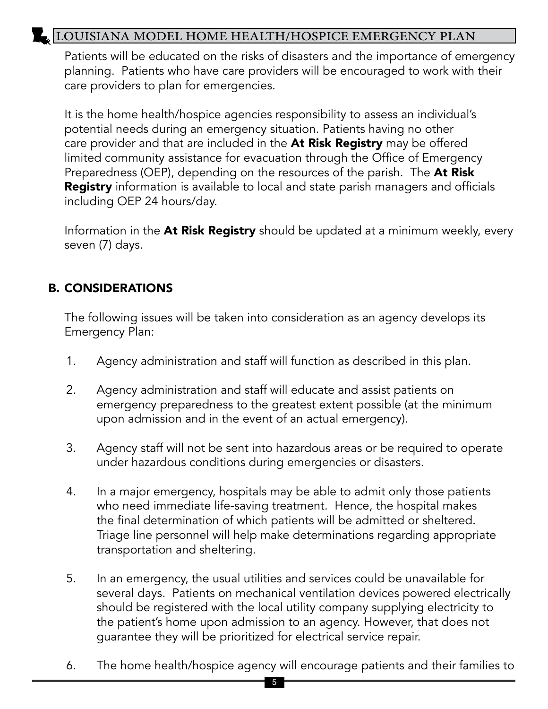Patients will be educated on the risks of disasters and the importance of emergency planning. Patients who have care providers will be encouraged to work with their care providers to plan for emergencies.

It is the home health/hospice agencies responsibility to assess an individual's potential needs during an emergency situation. Patients having no other care provider and that are included in the At Risk Registry may be offered limited community assistance for evacuation through the Office of Emergency Preparedness (OEP), depending on the resources of the parish. The At Risk **Registry** information is available to local and state parish managers and officials including OEP 24 hours/day.

Information in the At Risk Registry should be updated at a minimum weekly, every seven (7) days.

#### B. CONSIDERATIONS

The following issues will be taken into consideration as an agency develops its Emergency Plan:

- 1. Agency administration and staff will function as described in this plan.
- 2. Agency administration and staff will educate and assist patients on emergency preparedness to the greatest extent possible (at the minimum upon admission and in the event of an actual emergency).
- 3. Agency staff will not be sent into hazardous areas or be required to operate under hazardous conditions during emergencies or disasters.
- 4. In a major emergency, hospitals may be able to admit only those patients who need immediate life-saving treatment. Hence, the hospital makes the final determination of which patients will be admitted or sheltered. Triage line personnel will help make determinations regarding appropriate transportation and sheltering.
- 5. In an emergency, the usual utilities and services could be unavailable for several days. Patients on mechanical ventilation devices powered electrically should be registered with the local utility company supplying electricity to the patient's home upon admission to an agency. However, that does not guarantee they will be prioritized for electrical service repair.
- 6. The home health/hospice agency will encourage patients and their families to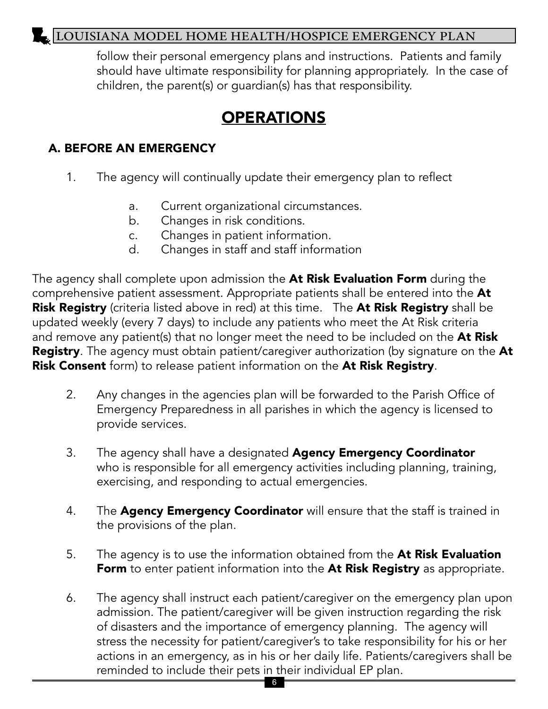follow their personal emergency plans and instructions. Patients and family should have ultimate responsibility for planning appropriately. In the case of children, the parent(s) or guardian(s) has that responsibility.

### **OPERATIONS**

#### A. BEFORE AN EMERGENCY

- 1. The agency will continually update their emergency plan to reflect
	- a. Current organizational circumstances.
	- b. Changes in risk conditions.
	- c. Changes in patient information.
	- d. Changes in staff and staff information

The agency shall complete upon admission the At Risk Evaluation Form during the comprehensive patient assessment. Appropriate patients shall be entered into the At Risk Registry (criteria listed above in red) at this time. The At Risk Registry shall be updated weekly (every 7 days) to include any patients who meet the At Risk criteria and remove any patient(s) that no longer meet the need to be included on the At Risk **Registry**. The agency must obtain patient/caregiver authorization (by signature on the At Risk Consent form) to release patient information on the At Risk Registry.

- 2. Any changes in the agencies plan will be forwarded to the Parish Office of Emergency Preparedness in all parishes in which the agency is licensed to provide services.
- 3. The agency shall have a designated **Agency Emergency Coordinator** who is responsible for all emergency activities including planning, training, exercising, and responding to actual emergencies.
- 4. The Agency Emergency Coordinator will ensure that the staff is trained in the provisions of the plan.
- 5. The agency is to use the information obtained from the At Risk Evaluation Form to enter patient information into the At Risk Registry as appropriate.
- 6. The agency shall instruct each patient/caregiver on the emergency plan upon admission. The patient/caregiver will be given instruction regarding the risk of disasters and the importance of emergency planning. The agency will stress the necessity for patient/caregiver's to take responsibility for his or her actions in an emergency, as in his or her daily life. Patients/caregivers shall be reminded to include their pets in their individual EP plan.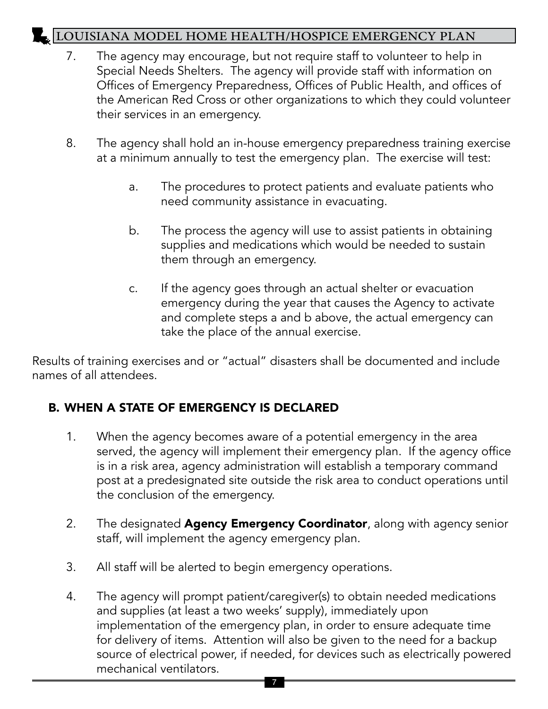- 7. The agency may encourage, but not require staff to volunteer to help in Special Needs Shelters. The agency will provide staff with information on Offices of Emergency Preparedness, Offices of Public Health, and offices of the American Red Cross or other organizations to which they could volunteer their services in an emergency.
- 8. The agency shall hold an in-house emergency preparedness training exercise at a minimum annually to test the emergency plan. The exercise will test:
	- a. The procedures to protect patients and evaluate patients who need community assistance in evacuating.
	- b. The process the agency will use to assist patients in obtaining supplies and medications which would be needed to sustain them through an emergency.
	- c. If the agency goes through an actual shelter or evacuation emergency during the year that causes the Agency to activate and complete steps a and b above, the actual emergency can take the place of the annual exercise.

Results of training exercises and or "actual" disasters shall be documented and include names of all attendees.

### B. WHEN A STATE OF EMERGENCY IS DECLARED

- 1. When the agency becomes aware of a potential emergency in the area served, the agency will implement their emergency plan. If the agency office is in a risk area, agency administration will establish a temporary command post at a predesignated site outside the risk area to conduct operations until the conclusion of the emergency.
- 2. The designated **Agency Emergency Coordinator**, along with agency senior staff, will implement the agency emergency plan.
- 3. All staff will be alerted to begin emergency operations.
- 4. The agency will prompt patient/caregiver(s) to obtain needed medications and supplies (at least a two weeks' supply), immediately upon implementation of the emergency plan, in order to ensure adequate time for delivery of items. Attention will also be given to the need for a backup source of electrical power, if needed, for devices such as electrically powered mechanical ventilators.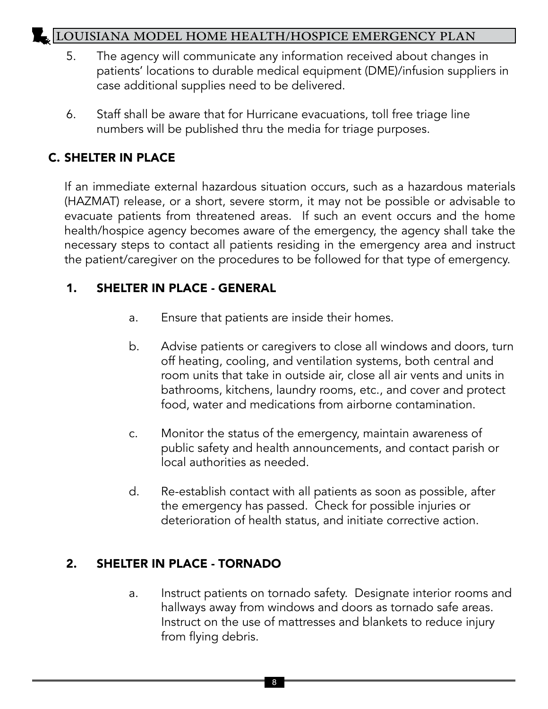- 5. The agency will communicate any information received about changes in patients' locations to durable medical equipment (DME)/infusion suppliers in case additional supplies need to be delivered.
- 6. Staff shall be aware that for Hurricane evacuations, toll free triage line numbers will be published thru the media for triage purposes.

#### C. SHELTER IN PLACE

If an immediate external hazardous situation occurs, such as a hazardous materials (HAZMAT) release, or a short, severe storm, it may not be possible or advisable to evacuate patients from threatened areas. If such an event occurs and the home health/hospice agency becomes aware of the emergency, the agency shall take the necessary steps to contact all patients residing in the emergency area and instruct the patient/caregiver on the procedures to be followed for that type of emergency.

#### 1. SHELTER IN PLACE - GENERAL

- a. Ensure that patients are inside their homes.
- b. Advise patients or caregivers to close all windows and doors, turn off heating, cooling, and ventilation systems, both central and room units that take in outside air, close all air vents and units in bathrooms, kitchens, laundry rooms, etc., and cover and protect food, water and medications from airborne contamination.
- c. Monitor the status of the emergency, maintain awareness of public safety and health announcements, and contact parish or local authorities as needed.
- d. Re-establish contact with all patients as soon as possible, after the emergency has passed. Check for possible injuries or deterioration of health status, and initiate corrective action.

#### 2. SHELTER IN PLACE - TORNADO

a. Instruct patients on tornado safety. Designate interior rooms and hallways away from windows and doors as tornado safe areas. Instruct on the use of mattresses and blankets to reduce injury from flying debris.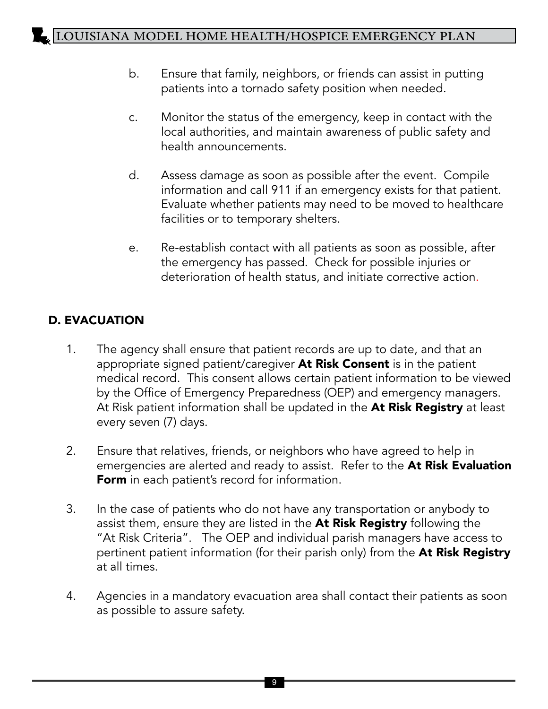- b. Ensure that family, neighbors, or friends can assist in putting patients into a tornado safety position when needed.
- c. Monitor the status of the emergency, keep in contact with the local authorities, and maintain awareness of public safety and health announcements.
- d. Assess damage as soon as possible after the event. Compile information and call 911 if an emergency exists for that patient. Evaluate whether patients may need to be moved to healthcare facilities or to temporary shelters.
- e. Re-establish contact with all patients as soon as possible, after the emergency has passed. Check for possible injuries or deterioration of health status, and initiate corrective action.

#### D. EVACUATION

- 1. The agency shall ensure that patient records are up to date, and that an appropriate signed patient/caregiver At Risk Consent is in the patient medical record. This consent allows certain patient information to be viewed by the Office of Emergency Preparedness (OEP) and emergency managers. At Risk patient information shall be updated in the At Risk Registry at least every seven (7) days.
- 2. Ensure that relatives, friends, or neighbors who have agreed to help in emergencies are alerted and ready to assist. Refer to the At Risk Evaluation Form in each patient's record for information.
- 3. In the case of patients who do not have any transportation or anybody to assist them, ensure they are listed in the At Risk Registry following the "At Risk Criteria". The OEP and individual parish managers have access to pertinent patient information (for their parish only) from the At Risk Registry at all times.
- 4. Agencies in a mandatory evacuation area shall contact their patients as soon as possible to assure safety.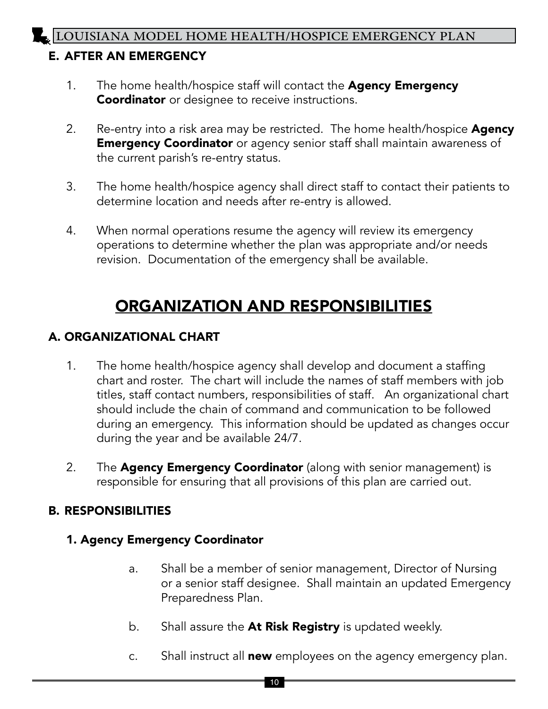#### E. AFTER AN EMERGENCY

- 1. The home health/hospice staff will contact the Agency Emergency **Coordinator** or designee to receive instructions.
- 2. Re-entry into a risk area may be restricted. The home health/hospice **Agency Emergency Coordinator** or agency senior staff shall maintain awareness of the current parish's re-entry status.
- 3. The home health/hospice agency shall direct staff to contact their patients to determine location and needs after re-entry is allowed.
- 4. When normal operations resume the agency will review its emergency operations to determine whether the plan was appropriate and/or needs revision. Documentation of the emergency shall be available.

## ORGANIZATION AND RESPONSIBILITIES

#### A. ORGANIZATIONAL CHART

- 1. The home health/hospice agency shall develop and document a staffing chart and roster. The chart will include the names of staff members with job titles, staff contact numbers, responsibilities of staff. An organizational chart should include the chain of command and communication to be followed during an emergency. This information should be updated as changes occur during the year and be available 24/7.
- 2. The **Agency Emergency Coordinator** (along with senior management) is responsible for ensuring that all provisions of this plan are carried out.

#### B. RESPONSIBILITIES

#### 1. Agency Emergency Coordinator

- a. Shall be a member of senior management, Director of Nursing or a senior staff designee. Shall maintain an updated Emergency Preparedness Plan.
- b. Shall assure the At Risk Registry is updated weekly.
- c. Shall instruct all new employees on the agency emergency plan.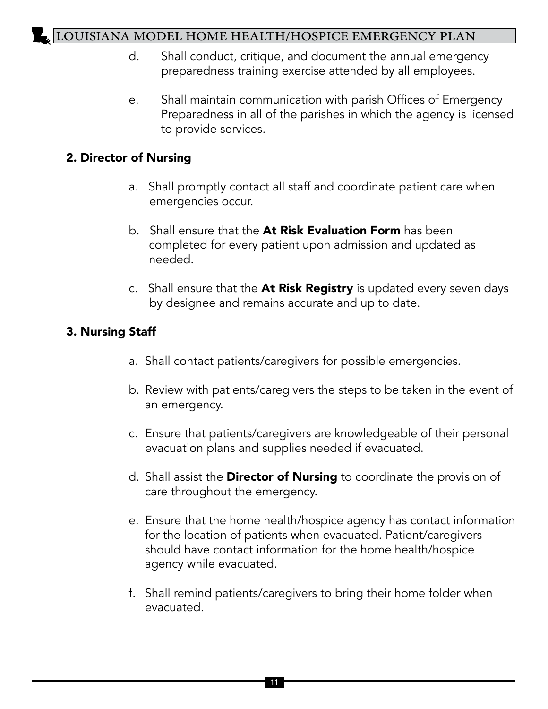- d. Shall conduct, critique, and document the annual emergency preparedness training exercise attended by all employees.
- e. Shall maintain communication with parish Offices of Emergency Preparedness in all of the parishes in which the agency is licensed to provide services.

#### 2. Director of Nursing

- a. Shall promptly contact all staff and coordinate patient care when emergencies occur.
- b. Shall ensure that the **At Risk Evaluation Form** has been completed for every patient upon admission and updated as needed.
- c. Shall ensure that the **At Risk Registry** is updated every seven days by designee and remains accurate and up to date.

#### 3. Nursing Staff

- a. Shall contact patients/caregivers for possible emergencies.
- b. Review with patients/caregivers the steps to be taken in the event of an emergency.
- c. Ensure that patients/caregivers are knowledgeable of their personal evacuation plans and supplies needed if evacuated.
- d. Shall assist the **Director of Nursing** to coordinate the provision of care throughout the emergency.
- e. Ensure that the home health/hospice agency has contact information for the location of patients when evacuated. Patient/caregivers should have contact information for the home health/hospice agency while evacuated.
- f. Shall remind patients/caregivers to bring their home folder when evacuated.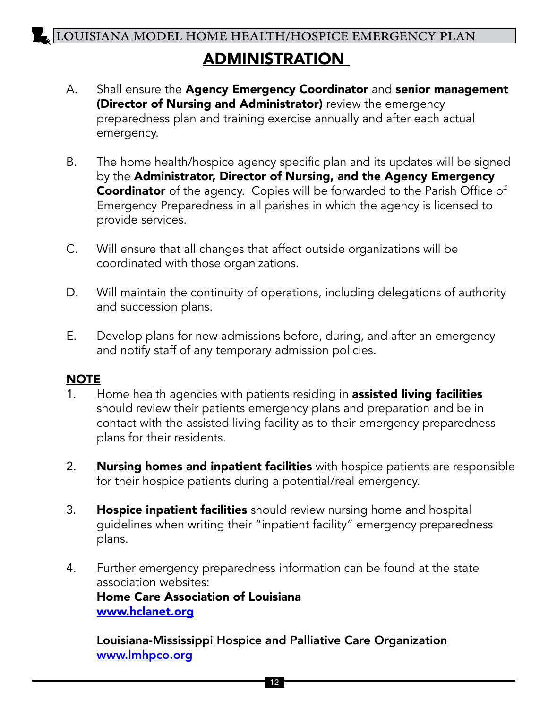## ADMINISTRATION

- A. Shall ensure the Agency Emergency Coordinator and senior management (Director of Nursing and Administrator) review the emergency preparedness plan and training exercise annually and after each actual emergency.
- B. The home health/hospice agency specific plan and its updates will be signed by the Administrator, Director of Nursing, and the Agency Emergency Coordinator of the agency. Copies will be forwarded to the Parish Office of Emergency Preparedness in all parishes in which the agency is licensed to provide services.
- C. Will ensure that all changes that affect outside organizations will be coordinated with those organizations.
- D. Will maintain the continuity of operations, including delegations of authority and succession plans.
- E. Develop plans for new admissions before, during, and after an emergency and notify staff of any temporary admission policies.

#### **NOTE**

- 1. Home health agencies with patients residing in **assisted living facilities** should review their patients emergency plans and preparation and be in contact with the assisted living facility as to their emergency preparedness plans for their residents.
- 2. Nursing homes and inpatient facilities with hospice patients are responsible for their hospice patients during a potential/real emergency.
- 3. Hospice inpatient facilities should review nursing home and hospital guidelines when writing their "inpatient facility" emergency preparedness plans.
- 4. Further emergency preparedness information can be found at the state association websites: Home Care Association of Louisiana [www.hclanet.org](http://www.hclanet.org)

 Louisiana-Mississippi Hospice and Palliative Care Organization www.lmhpco.org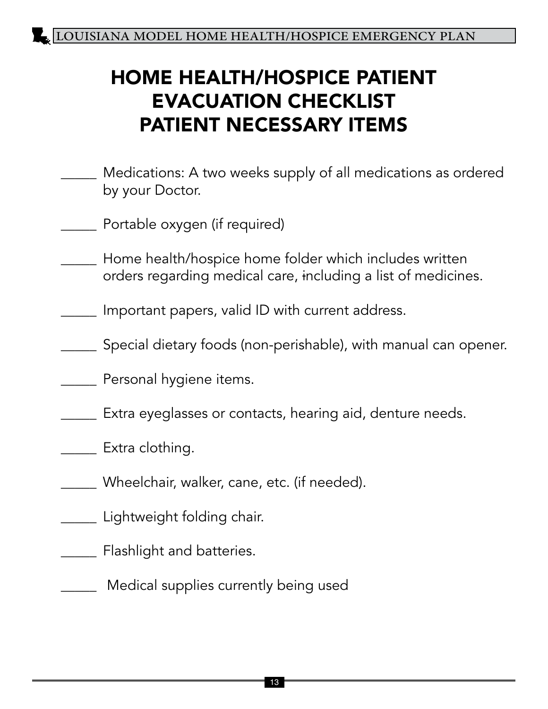# HOME HEALTH/HOSPICE PATIENT EVACUATION CHECKLIST PATIENT NECESSARY ITEMS

- \_\_\_\_\_ Medications: A two weeks supply of all medications as ordered by your Doctor.
- \_\_\_\_\_ Portable oxygen (if required)
- \_\_\_\_\_ Home health/hospice home folder which includes written orders regarding medical care, including a list of medicines.
- Important papers, valid ID with current address.
- \_\_\_\_\_ Special dietary foods (non-perishable), with manual can opener.
- **EXECUTE:** Personal hygiene items.
- \_\_\_\_\_ Extra eyeglasses or contacts, hearing aid, denture needs.
- **Extra clothing.** 
	- Wheelchair, walker, cane, etc. (if needed).
- \_\_\_\_\_ Lightweight folding chair.
- **\_\_\_\_\_** Flashlight and batteries.
- \_\_\_\_\_ Medical supplies currently being used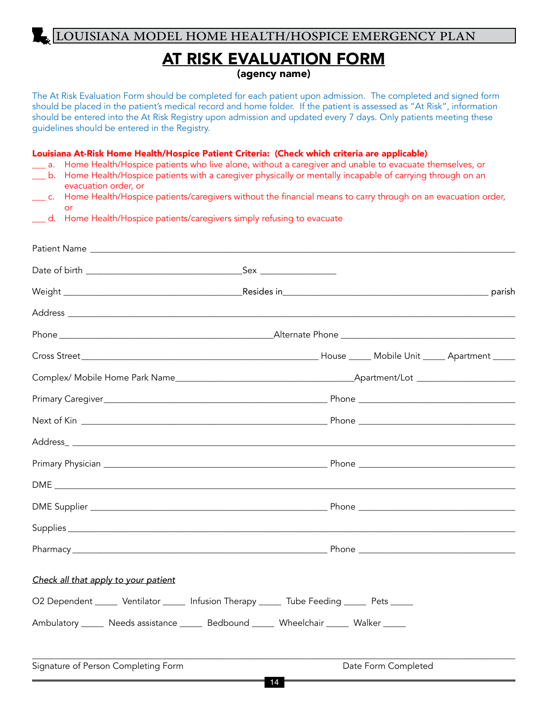#### AT RISK EVALUATION FORM (agency name)

The At Risk Evaluation Form should be completed for each patient upon admission. The completed and signed form should be placed in the patient's medical record and home folder. If the patient is assessed as "At Risk", information should be entered into the At Risk Registry upon admission and updated every 7 days. Only patients meeting these guidelines should be entered in the Registry.

Louisiana At-Risk Home Health/Hospice Patient Criteria: (Check which criteria are applicable)

- \_\_\_ a. Home Health/Hospice patients who live alone, without a caregiver and unable to evacuate themselves, or
- \_\_\_ b. Home Health/Hospice patients with a caregiver physically or mentally incapable of carrying through on an evacuation order, or
- \_\_\_ c. Home Health/Hospice patients/caregivers without the financial means to carry through on an evacuation order, or
- \_\_\_ d. Home Health/Hospice patients/caregivers simply refusing to evacuate

| Check all that apply to your patient                                                        |    |                     |  |
|---------------------------------------------------------------------------------------------|----|---------------------|--|
| O2 Dependent ______ Ventilator ______ Infusion Therapy ______ Tube Feeding _____ Pets _____ |    |                     |  |
| Ambulatory ______ Needs assistance ______ Bedbound ______ Wheelchair ______ Walker _____    |    |                     |  |
| Signature of Person Completing Form                                                         | 14 | Date Form Completed |  |